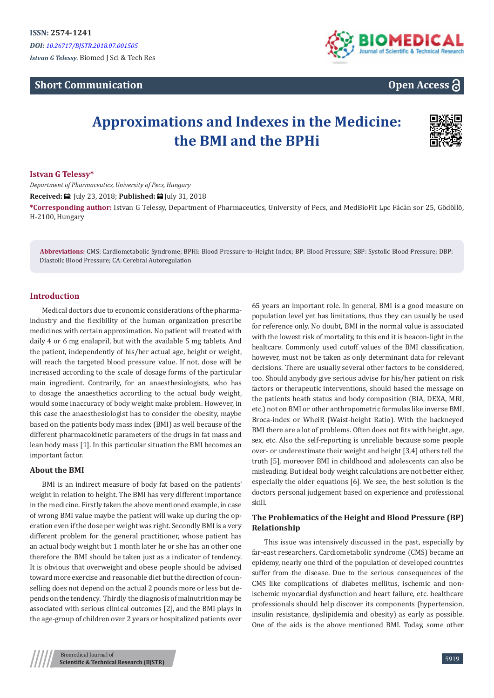## **Short Communication**



# **Open Access**

# **Approximations and Indexes in the Medicine: the BMI and the BPHi**



## **Istvan G Telessy\***

*Department of Pharmaceutics, University of Pecs, Hungary* **Received:** ■: July 23, 2018; **Published:** ■ July 31, 2018 **\*Corresponding author:** Istvan G Telessy, Department of Pharmaceutics, University of Pecs, and MedBioFit Lpc Fácán sor 25, Gödöllö, H-2100, Hungary

**Abbreviations:** CMS: Cardiometabolic Syndrome; BPHi: Blood Pressure-to-Height Index; BP: Blood Pressure; SBP: Systolic Blood Pressure; DBP: Diastolic Blood Pressure; CA: Cerebral Autoregulation

## **Introduction**

Medical doctors due to economic considerations of the pharmaindustry and the flexibility of the human organization prescribe medicines with certain approximation. No patient will treated with daily 4 or 6 mg enalapril, but with the available 5 mg tablets. And the patient, independently of his/her actual age, height or weight, will reach the targeted blood pressure value. If not, dose will be increased according to the scale of dosage forms of the particular main ingredient. Contrarily, for an anaesthesiologists, who has to dosage the anaesthetics according to the actual body weight, would some inaccuracy of body weight make problem. However, in this case the anaesthesiologist has to consider the obesity, maybe based on the patients body mass index (BMI) as well because of the different pharmacokinetic parameters of the drugs in fat mass and lean body mass [1]. In this particular situation the BMI becomes an important factor.

## **About the BMI**

BMI is an indirect measure of body fat based on the patients' weight in relation to height. The BMI has very different importance in the medicine. Firstly taken the above mentioned example, in case of wrong BMI value maybe the patient will wake up during the operation even if the dose per weight was right. Secondly BMI is a very different problem for the general practitioner, whose patient has an actual body weight but 1 month later he or she has an other one therefore the BMI should be taken just as a indicator of tendency. It is obvious that overweight and obese people should be advised toward more exercise and reasonable diet but the direction of counselling does not depend on the actual 2 pounds more or less but depends on the tendency. Thirdly the diagnosis of malnutrition may be associated with serious clinical outcomes [2], and the BMI plays in the age-group of children over 2 years or hospitalized patients over 65 years an important role. In general, BMI is a good measure on population level yet has limitations, thus they can usually be used for reference only. No doubt, BMI in the normal value is associated with the lowest risk of mortality, to this end it is beacon-light in the healtcare. Commonly used cutoff values of the BMI classification, however, must not be taken as only determinant data for relevant decisions. There are usually several other factors to be considered, too. Should anybody give serious advise for his/her patient on risk factors or therapeutic interventions, should based the message on the patients heath status and body composition (BIA, DEXA, MRI, etc.) not on BMI or other anthropometric formulas like inverse BMI, Broca-index or WheiR (Waist-height Ratio). With the hackneyed BMI there are a lot of problems. Often does not fits with height, age, sex, etc. Also the self-reporting is unreliable because some people over- or underestimate their weight and height [3,4] others tell the truth [5], moreover BMI in childhood and adolescents can also be misleading. But ideal body weight calculations are not better either, especially the older equations [6]. We see, the best solution is the doctors personal judgement based on experience and professional skill.

## **The Problematics of the Height and Blood Pressure (BP) Relationship**

This issue was intensively discussed in the past, especially by far-east researchers. Cardiometabolic syndrome (CMS) became an epidemy, nearly one third of the population of developed countries suffer from the disease. Due to the serious consequences of the CMS like complications of diabetes mellitus, ischemic and nonischemic myocardial dysfunction and heart failure, etc. healthcare professionals should help discover its components (hypertension, insulin resistance, dyslipidemia and obesity) as early as possible. One of the aids is the above mentioned BMI. Today, some other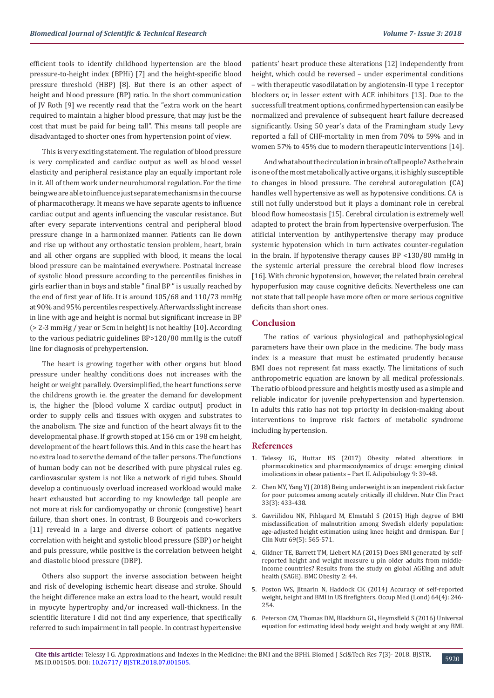efficient tools to identify childhood hypertension are the blood pressure-to-height index (BPHi) [7] and the height-specific blood pressure threshold (HBP) [8]. But there is an other aspect of height and blood pressure (BP) ratio. In the short communication of JV Roth [9] we recently read that the "extra work on the heart required to maintain a higher blood pressure, that may just be the cost that must be paid for being tall". This means tall people are disadvantaged to shorter ones from hypertension point of view.

This is very exciting statement. The regulation of blood pressure is very complicated and cardiac output as well as blood vessel elasticity and peripheral resistance play an equally important role in it. All of them work under neurohumoral regulation. For the time being we are able to influence just separate mechanisms in the course of pharmacotherapy. It means we have separate agents to influence cardiac output and agents influencing the vascular resistance. But after every separate interventions central and peripheral blood pressure change in a harmonized manner. Patients can lie down and rise up without any orthostatic tension problem, heart, brain and all other organs are supplied with blood, it means the local blood pressure can be maintained everywhere. Postnatal increase of systolic blood pressure according to the percentiles finishes in girls earlier than in boys and stable " final BP " is usually reached by the end of first year of life. It is around 105/68 and 110/73 mmHg at 90% and 95% percentiles respectively. Afterwards slight increase in line with age and height is normal but significant increase in BP (> 2-3 mmHg / year or 5cm in height) is not healthy [10]. According to the various pediatric guidelines BP>120/80 mmHg is the cutoff line for diagnosis of prehypertension.

The heart is growing together with other organs but blood pressure under healthy conditions does not increases with the height or weight parallely. Oversimplified, the heart functions serve the childrens growth ie. the greater the demand for development is, the higher the [blood volume X cardiac output] product in order to supply cells and tissues with oxygen and substrates to the anabolism. The size and function of the heart always fit to the developmental phase. If growth stoped at 156 cm or 198 cm height, development of the heart follows this. And in this case the heart has no extra load to serv the demand of the taller persons. The functions of human body can not be described with pure physical rules eg. cardiovascular system is not like a network of rigid tubes. Should develop a continuously overload increased workload would make heart exhausted but according to my knowledge tall people are not more at risk for cardiomyopathy or chronic (congestive) heart failure, than short ones. In contrast, B Bourgeois and co-workers [11] reveald in a large and diverse cohort of patients negative correlation with height and systolic blood pressure (SBP) or height and puls pressure, while positive is the correlation between height and diastolic blood pressure (DBP).

Others also support the inverse association between height and risk of developing ischemic heart disease and stroke. Should the height difference make an extra load to the heart, would result in myocyte hypertrophy and/or increased wall-thickness. In the scientific literature I did not find any experience, that specifically referred to such impairment in tall people. In contrast hypertensive

patients' heart produce these alterations [12] independently from height, which could be reversed – under experimental conditions – with therapeutic vasodilatation by angiotensin-II type 1 receptor blockers or, in lesser extent with ACE inhibitors [13]. Due to the successfull treatment options, confirmed hypertension can easily be normalized and prevalence of subsequent heart failure decreased significantly. Using 50 year's data of the Framingham study Levy reported a fall of CHF-mortality in men from 70% to 59% and in women 57% to 45% due to modern therapeutic interventions [14].

And what about the circulation in brain of tall people? As the brain is one of the most metabolically active organs, it is highly susceptible to changes in blood pressure. The cerebral autoregulation (CA) handles well hypertensive as well as hypotensive conditions. CA is still not fully understood but it plays a dominant role in cerebral blood flow homeostasis [15]. Cerebral circulation is extremely well adapted to protect the brain from hypertensive overperfusion. The atificial intervention by antihypertensive therapy may produce systemic hypotension which in turn activates counter-regulation in the brain. If hypotensive therapy causes BP <130/80 mmHg in the systemic arterial pressure the cerebral blood flow increses [16]. With chronic hypotension, however, the related brain cerebral hypoperfusion may cause cognitive deficits. Nevertheless one can not state that tall people have more often or more serious cognitive deficits than short ones.

## **Conclusion**

The ratios of various physiological and pathophysiological parameters have their own place in the medicine. The body mass index is a measure that must be estimated prudently because BMI does not represent fat mass exactly. The limitations of such anthropometric equation are known by all medical professionals. The ratio of blood pressure and height is mostly used as a simple and reliable indicator for juvenile prehypertension and hypertension. In adults this ratio has not top priority in decision-making about interventions to improve risk factors of metabolic syndrome including hypertension.

### **References**

- 1. [Telessy IG, Huttar HS \(2017\) Obesity related alterations in](https://www.researchgate.net/publication/324981326_OBESITY_RELATED_ALTERATIONS_IN_PHARMACOKINETICS_AND_PHARMACODYNAMICS_OF_DRUGS_EMERGING_CLINICAL_IMPLICATIONS_IN_OBESE_PATIENTS-Part_II_RE_VIE_W) [pharmacokinetics and pharmacodynamics of drugs: emerging clinical](https://www.researchgate.net/publication/324981326_OBESITY_RELATED_ALTERATIONS_IN_PHARMACOKINETICS_AND_PHARMACODYNAMICS_OF_DRUGS_EMERGING_CLINICAL_IMPLICATIONS_IN_OBESE_PATIENTS-Part_II_RE_VIE_W) [imolications in obese patients – Part II. Adipobiology 9: 39-48.](https://www.researchgate.net/publication/324981326_OBESITY_RELATED_ALTERATIONS_IN_PHARMACOKINETICS_AND_PHARMACODYNAMICS_OF_DRUGS_EMERGING_CLINICAL_IMPLICATIONS_IN_OBESE_PATIENTS-Part_II_RE_VIE_W)
- 2. [Chen MY, Yang YJ \(2018\) Being underweight is an inependent risk factor](https://www.ncbi.nlm.nih.gov/pubmed/28671859) [for poor putcomea among acutely critically ill children. Nutr Clin Pract](https://www.ncbi.nlm.nih.gov/pubmed/28671859) [33\(3\): 433-438.](https://www.ncbi.nlm.nih.gov/pubmed/28671859)
- 3. [Gavriilidou NN, Pihlsgard M, Elmstahl S \(2015\) High degree of BMI](https://www.ncbi.nlm.nih.gov/pubmed/25205322) [misclassification of malnutrition among Swedish elderly population:](https://www.ncbi.nlm.nih.gov/pubmed/25205322) [age-adjusted height estimation using knee height and drmispan. Eur J](https://www.ncbi.nlm.nih.gov/pubmed/25205322) [Clin Nutr 69\(5\): 565-571.](https://www.ncbi.nlm.nih.gov/pubmed/25205322)
- 4. [Gildner TE, Barrett TM, Liebert MA \(2015\) Does BMI generated by self](https://www.ncbi.nlm.nih.gov/pmc/articles/PMC4620625/)[reported height and weight measure u pin older adults from middle](https://www.ncbi.nlm.nih.gov/pmc/articles/PMC4620625/)[income countries? Results from the study on global AGEing and adult](https://www.ncbi.nlm.nih.gov/pmc/articles/PMC4620625/) [health \(SAGE\). BMC Obesity 2: 44.](https://www.ncbi.nlm.nih.gov/pmc/articles/PMC4620625/)
- 5. [Poston WS, Jitnarin N, Haddock CK \(2014\) Accuracy of self-reported](https://www.ncbi.nlm.nih.gov/pubmed/24711630) [weight, height and BMI in US firefighters. Occup Med \(Lond\) 64\(4\): 246-](https://www.ncbi.nlm.nih.gov/pubmed/24711630) [254.](https://www.ncbi.nlm.nih.gov/pubmed/24711630)
- 6. [Peterson CM, Thomas DM, Blackburn GL, Heymsfield S \(2016\) Universal](https://www.ncbi.nlm.nih.gov/pmc/articles/PMC4841935/) [equation for estimating ideal body weight and body weight at any BMI.](https://www.ncbi.nlm.nih.gov/pmc/articles/PMC4841935/)